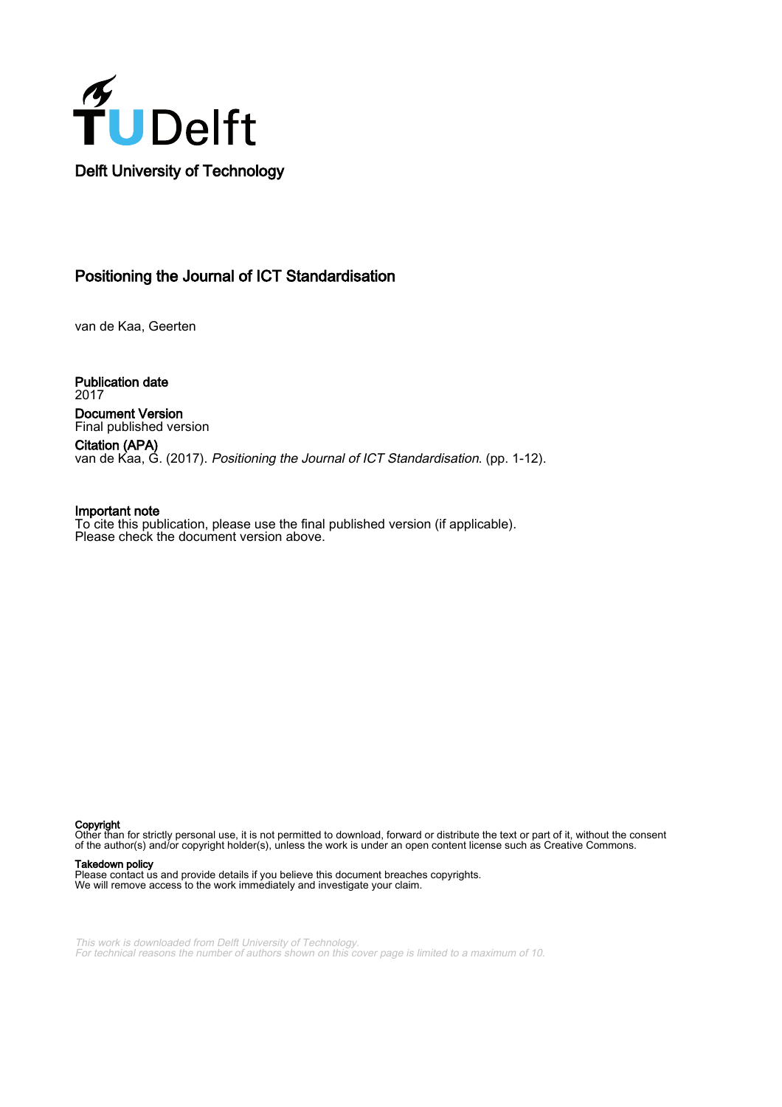

## Positioning the Journal of ICT Standardisation

van de Kaa, Geerten

Publication date 2017 Document Version Final published version

Citation (APA) van de Kaa, G. (2017). *Positioning the Journal of ICT Standardisation*. (pp. 1-12).

#### Important note To cite this publication, please use the final published version (if applicable). Please check the document version above.

#### Copyright

Other than for strictly personal use, it is not permitted to download, forward or distribute the text or part of it, without the consent of the author(s) and/or copyright holder(s), unless the work is under an open content license such as Creative Commons.

#### Takedown policy

Please contact us and provide details if you believe this document breaches copyrights. We will remove access to the work immediately and investigate your claim.

This work is downloaded from Delft University of Technology. For technical reasons the number of authors shown on this cover page is limited to a maximum of 10.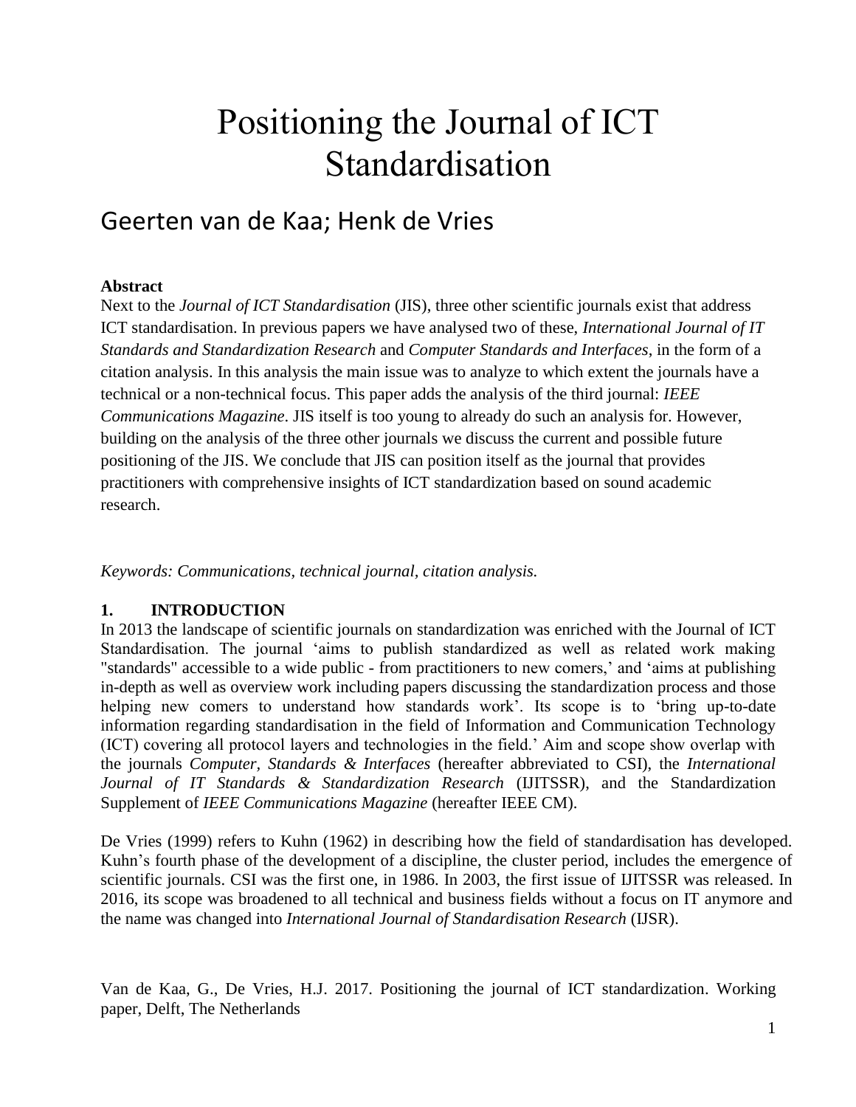# Positioning the Journal of ICT Standardisation

## Geerten van de Kaa; Henk de Vries

#### **Abstract**

Next to the *Journal of ICT Standardisation* (JIS), three other scientific journals exist that address ICT standardisation. In previous papers we have analysed two of these, *International Journal of IT Standards and Standardization Research* and *Computer Standards and Interfaces*, in the form of a citation analysis. In this analysis the main issue was to analyze to which extent the journals have a technical or a non-technical focus. This paper adds the analysis of the third journal: *IEEE Communications Magazine*. JIS itself is too young to already do such an analysis for. However, building on the analysis of the three other journals we discuss the current and possible future positioning of the JIS. We conclude that JIS can position itself as the journal that provides practitioners with comprehensive insights of ICT standardization based on sound academic research.

*Keywords: Communications, technical journal, citation analysis.*

#### **1. INTRODUCTION**

In 2013 the landscape of scientific journals on standardization was enriched with the Journal of ICT Standardisation. The journal 'aims to publish standardized as well as related work making "standards" accessible to a wide public - from practitioners to new comers,' and 'aims at publishing in-depth as well as overview work including papers discussing the standardization process and those helping new comers to understand how standards work'. Its scope is to 'bring up-to-date information regarding standardisation in the field of Information and Communication Technology (ICT) covering all protocol layers and technologies in the field.' Aim and scope show overlap with the journals *Computer, Standards & Interfaces* (hereafter abbreviated to CSI), the *International Journal of IT Standards & Standardization Research* (IJITSSR), and the Standardization Supplement of *IEEE Communications Magazine* (hereafter IEEE CM).

De Vries (1999) refers to Kuhn (1962) in describing how the field of standardisation has developed. Kuhn's fourth phase of the development of a discipline, the cluster period, includes the emergence of scientific journals. CSI was the first one, in 1986. In 2003, the first issue of IJITSSR was released. In 2016, its scope was broadened to all technical and business fields without a focus on IT anymore and the name was changed into *International Journal of Standardisation Research* (IJSR).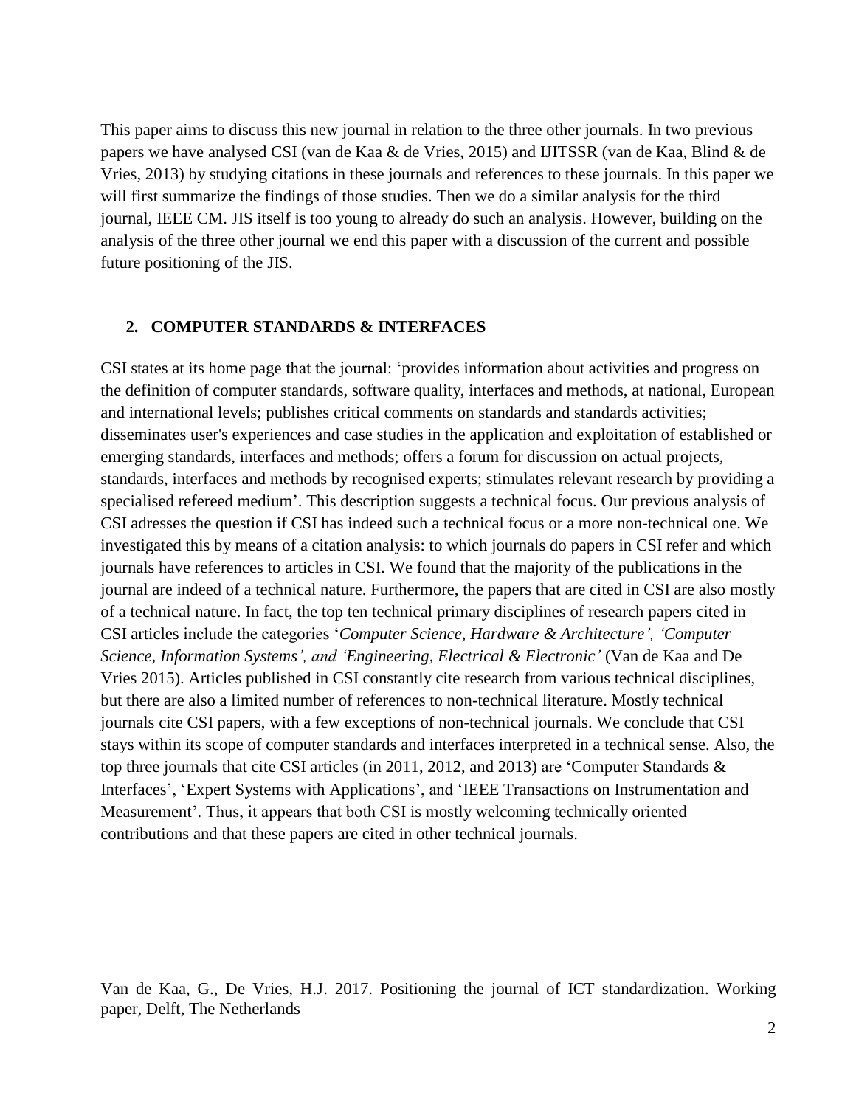This paper aims to discuss this new journal in relation to the three other journals. In two previous papers we have analysed CSI (van de Kaa & de Vries, 2015) and IJITSSR (van de Kaa, Blind & de Vries, 2013) by studying citations in these journals and references to these journals. In this paper we will first summarize the findings of those studies. Then we do a similar analysis for the third journal, IEEE CM. JIS itself is too young to already do such an analysis. However, building on the analysis of the three other journal we end this paper with a discussion of the current and possible future positioning of the JIS.

#### **2. COMPUTER STANDARDS & INTERFACES**

CSI states at its home page that the journal: 'provides information about activities and progress on the definition of computer standards, software quality, interfaces and methods, at national, European and international levels; publishes critical comments on standards and standards activities; disseminates user's experiences and case studies in the application and exploitation of established or emerging standards, interfaces and methods; offers a forum for discussion on actual projects, standards, interfaces and methods by recognised experts; stimulates relevant research by providing a specialised refereed medium'. This description suggests a technical focus. Our previous analysis of CSI adresses the question if CSI has indeed such a technical focus or a more non-technical one. We investigated this by means of a citation analysis: to which journals do papers in CSI refer and which journals have references to articles in CSI. We found that the majority of the publications in the journal are indeed of a technical nature. Furthermore, the papers that are cited in CSI are also mostly of a technical nature. In fact, the top ten technical primary disciplines of research papers cited in CSI articles include the categories '*Computer Science, Hardware & Architecture', 'Computer Science, Information Systems', and 'Engineering, Electrical & Electronic'* (Van de Kaa and De Vries 2015). Articles published in CSI constantly cite research from various technical disciplines, but there are also a limited number of references to non-technical literature. Mostly technical journals cite CSI papers, with a few exceptions of non-technical journals. We conclude that CSI stays within its scope of computer standards and interfaces interpreted in a technical sense. Also*,* the top three journals that cite CSI articles (in 2011, 2012, and 2013) are 'Computer Standards & Interfaces', 'Expert Systems with Applications', and 'IEEE Transactions on Instrumentation and Measurement'. Thus, it appears that both CSI is mostly welcoming technically oriented contributions and that these papers are cited in other technical journals.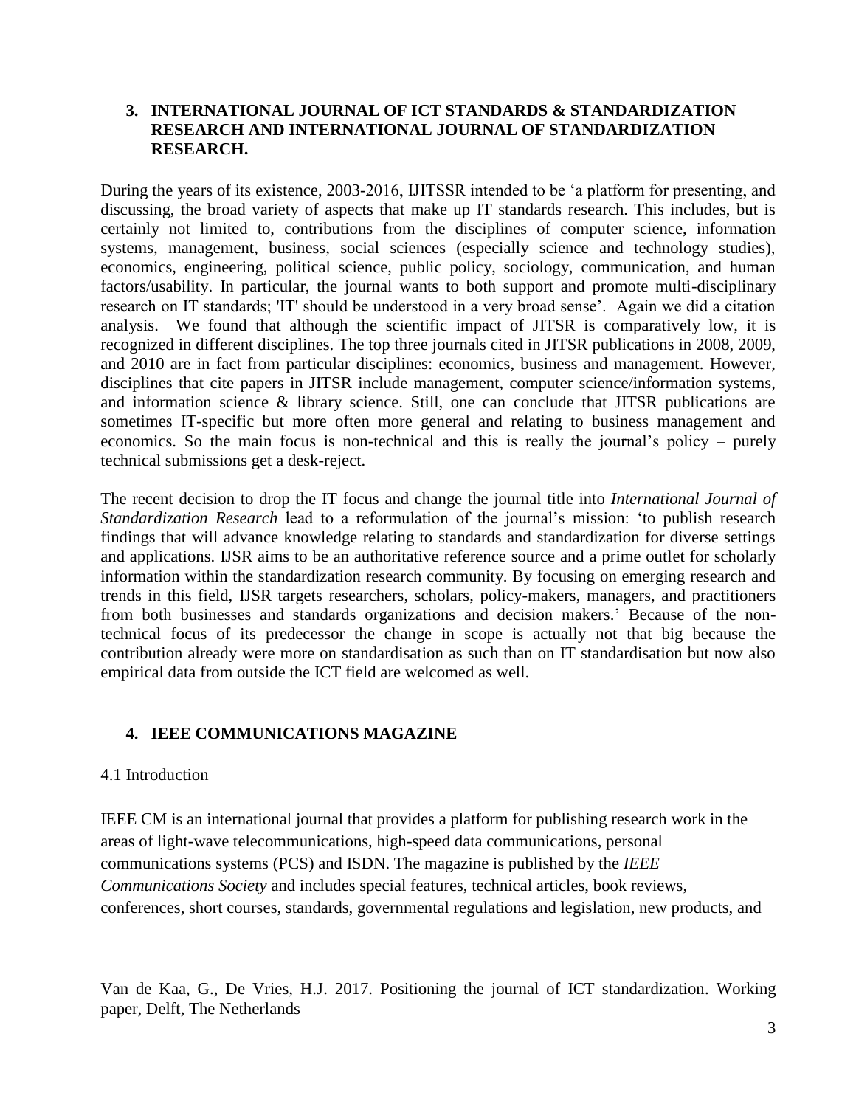#### **3. INTERNATIONAL JOURNAL OF ICT STANDARDS & STANDARDIZATION RESEARCH AND INTERNATIONAL JOURNAL OF STANDARDIZATION RESEARCH.**

During the years of its existence, 2003-2016, IJITSSR intended to be 'a platform for presenting, and discussing, the broad variety of aspects that make up IT standards research. This includes, but is certainly not limited to, contributions from the disciplines of computer science, information systems, management, business, social sciences (especially science and technology studies), economics, engineering, political science, public policy, sociology, communication, and human factors/usability. In particular, the journal wants to both support and promote multi-disciplinary research on IT standards; 'IT' should be understood in a very broad sense'. Again we did a citation analysis. We found that although the scientific impact of JITSR is comparatively low, it is recognized in different disciplines. The top three journals cited in JITSR publications in 2008, 2009, and 2010 are in fact from particular disciplines: economics, business and management. However, disciplines that cite papers in JITSR include management, computer science/information systems, and information science & library science. Still, one can conclude that JITSR publications are sometimes IT-specific but more often more general and relating to business management and economics. So the main focus is non-technical and this is really the journal's policy – purely technical submissions get a desk-reject.

The recent decision to drop the IT focus and change the journal title into *International Journal of Standardization Research* lead to a reformulation of the journal's mission: 'to publish research findings that will advance knowledge relating to standards and standardization for diverse settings and applications. IJSR aims to be an authoritative reference source and a prime outlet for scholarly information within the standardization research community. By focusing on emerging research and trends in this field, IJSR targets researchers, scholars, policy-makers, managers, and practitioners from both businesses and standards organizations and decision makers.' Because of the nontechnical focus of its predecessor the change in scope is actually not that big because the contribution already were more on standardisation as such than on IT standardisation but now also empirical data from outside the ICT field are welcomed as well.

#### **4. IEEE COMMUNICATIONS MAGAZINE**

#### 4.1 Introduction

IEEE CM is an international journal that provides a platform for publishing research work in the areas of light-wave telecommunications, high-speed data communications, personal communications systems (PCS) and ISDN. The magazine is published by the *IEEE Communications Society* and includes special features, technical articles, book reviews, conferences, short courses, standards, governmental regulations and legislation, new products, and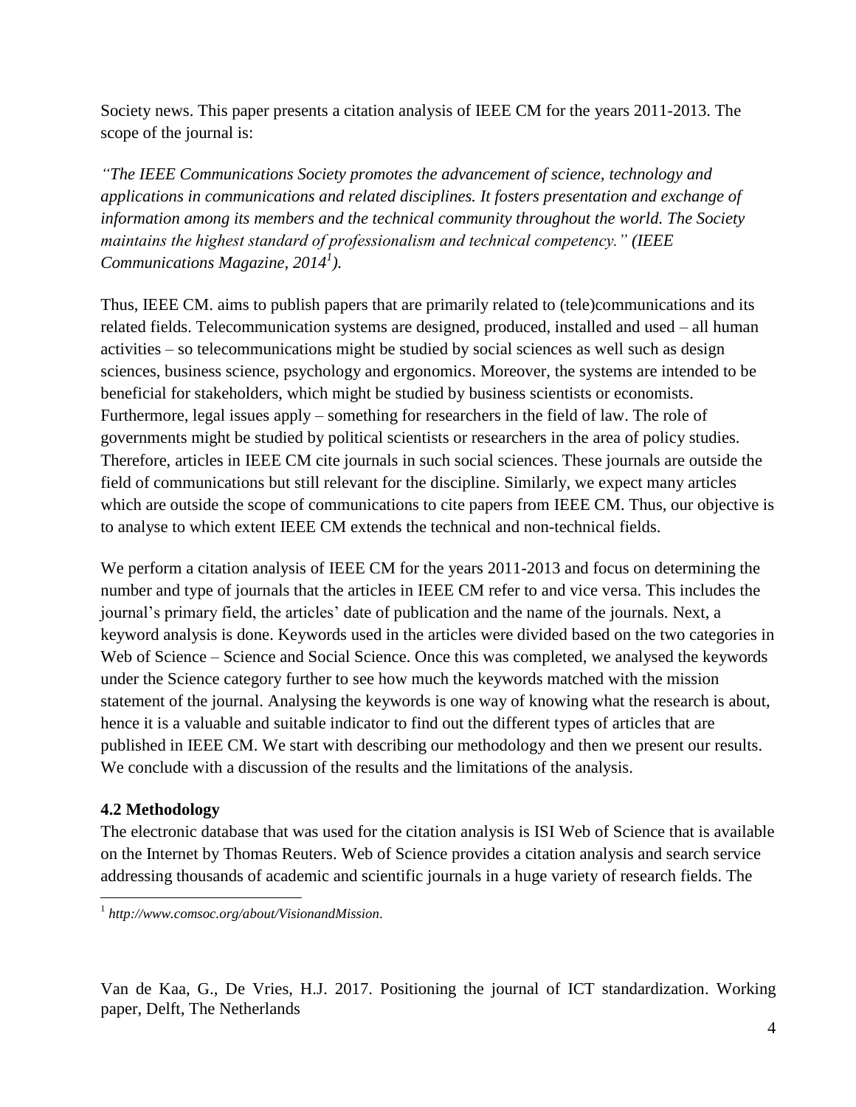Society news. This paper presents a citation analysis of IEEE CM for the years 2011-2013. The scope of the journal is:

*"The IEEE Communications Society promotes the advancement of science, technology and applications in communications and related disciplines. It fosters presentation and exchange of information among its members and the technical community throughout the world. The Society maintains the highest standard of professionalism and technical competency." (IEEE Communications Magazine, 2014<sup>1</sup> ).*

Thus, IEEE CM. aims to publish papers that are primarily related to (tele)communications and its related fields. Telecommunication systems are designed, produced, installed and used – all human activities – so telecommunications might be studied by social sciences as well such as design sciences, business science, psychology and ergonomics. Moreover, the systems are intended to be beneficial for stakeholders, which might be studied by business scientists or economists. Furthermore, legal issues apply – something for researchers in the field of law. The role of governments might be studied by political scientists or researchers in the area of policy studies. Therefore, articles in IEEE CM cite journals in such social sciences. These journals are outside the field of communications but still relevant for the discipline. Similarly, we expect many articles which are outside the scope of communications to cite papers from IEEE CM. Thus, our objective is to analyse to which extent IEEE CM extends the technical and non-technical fields.

We perform a citation analysis of IEEE CM for the years 2011-2013 and focus on determining the number and type of journals that the articles in IEEE CM refer to and vice versa. This includes the journal's primary field, the articles' date of publication and the name of the journals. Next, a keyword analysis is done. Keywords used in the articles were divided based on the two categories in Web of Science – Science and Social Science. Once this was completed, we analysed the keywords under the Science category further to see how much the keywords matched with the mission statement of the journal. Analysing the keywords is one way of knowing what the research is about, hence it is a valuable and suitable indicator to find out the different types of articles that are published in IEEE CM. We start with describing our methodology and then we present our results. We conclude with a discussion of the results and the limitations of the analysis.

## **4.2 Methodology**

 $\overline{a}$ 

The electronic database that was used for the citation analysis is ISI Web of Science that is available on the Internet by Thomas Reuters. Web of Science provides a citation analysis and search service addressing thousands of academic and scientific journals in a huge variety of research fields. The

1 *http://www.comsoc.org/about/VisionandMission.*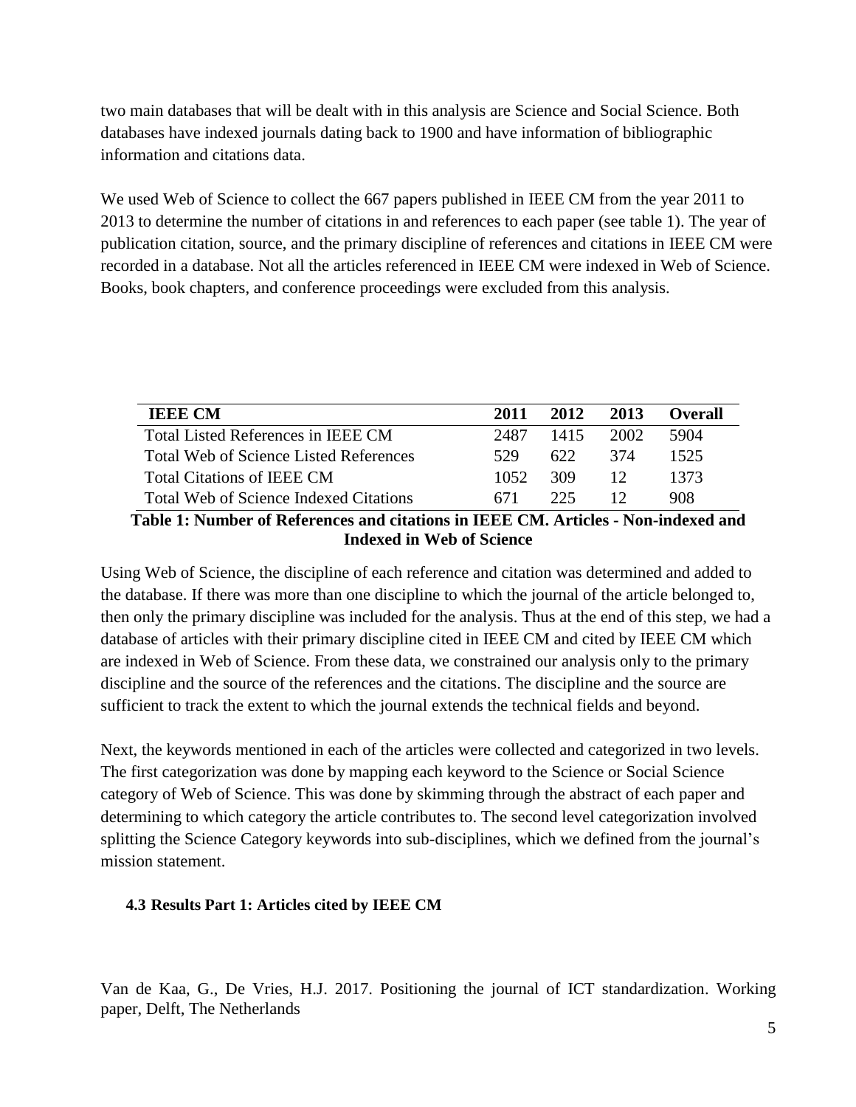two main databases that will be dealt with in this analysis are Science and Social Science. Both databases have indexed journals dating back to 1900 and have information of bibliographic information and citations data.

We used Web of Science to collect the 667 papers published in IEEE CM from the year 2011 to 2013 to determine the number of citations in and references to each paper (see table 1). The year of publication citation, source, and the primary discipline of references and citations in IEEE CM were recorded in a database. Not all the articles referenced in IEEE CM were indexed in Web of Science. Books, book chapters, and conference proceedings were excluded from this analysis.

| <b>IEEE CM</b>                                | 2011  | 2012 | 2013 | () verall |
|-----------------------------------------------|-------|------|------|-----------|
| Total Listed References in IEEE CM            | 2487  | 1415 | 2002 | 5904      |
| <b>Total Web of Science Listed References</b> | 529   | 622  | 374  | 1525      |
| <b>Total Citations of IEEE CM</b>             | 1052. | -309 | 12   | 1373      |
| Total Web of Science Indexed Citations        | 671   | 225  |      | 908       |

#### **Table 1: Number of References and citations in IEEE CM. Articles - Non-indexed and Indexed in Web of Science**

Using Web of Science, the discipline of each reference and citation was determined and added to the database. If there was more than one discipline to which the journal of the article belonged to, then only the primary discipline was included for the analysis. Thus at the end of this step, we had a database of articles with their primary discipline cited in IEEE CM and cited by IEEE CM which are indexed in Web of Science. From these data, we constrained our analysis only to the primary discipline and the source of the references and the citations. The discipline and the source are sufficient to track the extent to which the journal extends the technical fields and beyond.

Next, the keywords mentioned in each of the articles were collected and categorized in two levels. The first categorization was done by mapping each keyword to the Science or Social Science category of Web of Science. This was done by skimming through the abstract of each paper and determining to which category the article contributes to. The second level categorization involved splitting the Science Category keywords into sub-disciplines, which we defined from the journal's mission statement.

#### **4.3 Results Part 1: Articles cited by IEEE CM**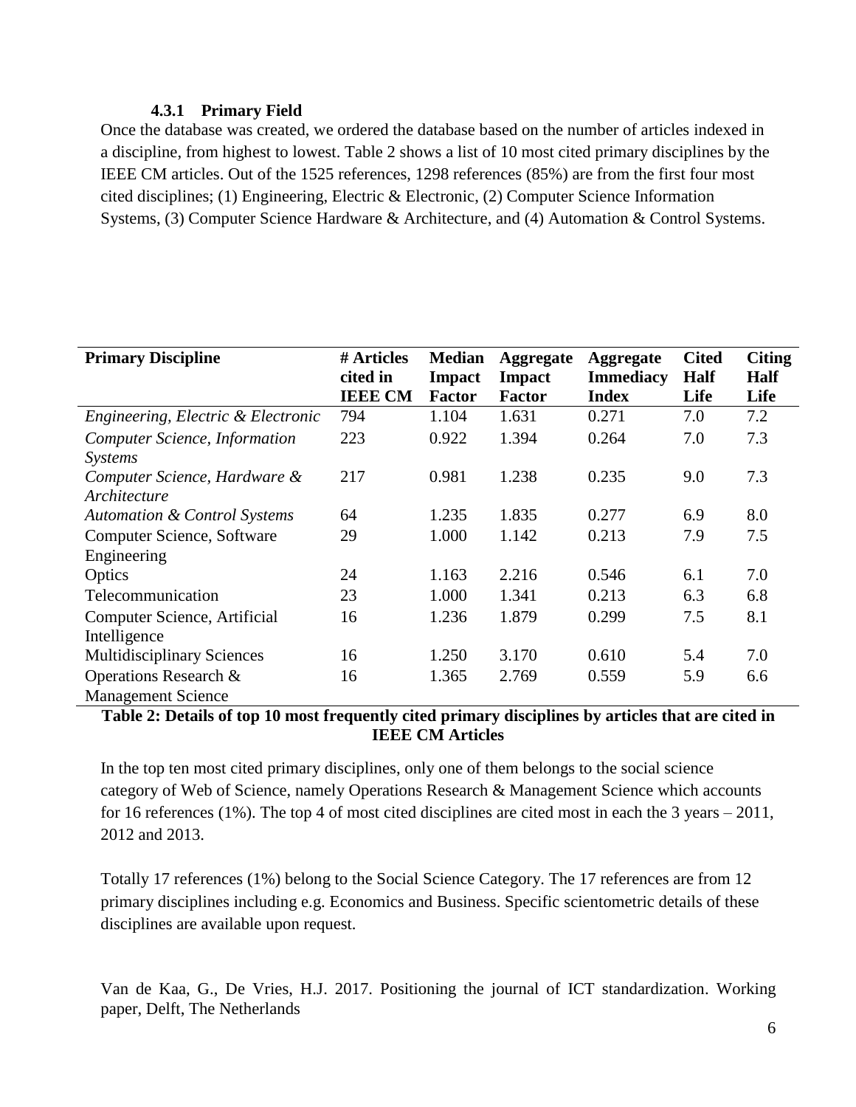#### **4.3.1 Primary Field**

Once the database was created, we ordered the database based on the number of articles indexed in a discipline, from highest to lowest. Table 2 shows a list of 10 most cited primary disciplines by the IEEE CM articles. Out of the 1525 references, 1298 references (85%) are from the first four most cited disciplines; (1) Engineering, Electric & Electronic, (2) Computer Science Information Systems, (3) Computer Science Hardware & Architecture, and (4) Automation & Control Systems.

| <b>Primary Discipline</b>               | # Articles     | <b>Median</b> | <b>Aggregate</b> | <b>Aggregate</b> | <b>Cited</b> | <b>Citing</b> |
|-----------------------------------------|----------------|---------------|------------------|------------------|--------------|---------------|
|                                         | cited in       | <b>Impact</b> | <b>Impact</b>    | <b>Immediacy</b> | Half         | <b>Half</b>   |
|                                         | <b>IEEE CM</b> | <b>Factor</b> | <b>Factor</b>    | <b>Index</b>     | Life         | Life          |
| Engineering, Electric & Electronic      | 794            | 1.104         | 1.631            | 0.271            | 7.0          | 7.2           |
| Computer Science, Information           | 223            | 0.922         | 1.394            | 0.264            | 7.0          | 7.3           |
| <i>Systems</i>                          |                |               |                  |                  |              |               |
| Computer Science, Hardware &            | 217            | 0.981         | 1.238            | 0.235            | 9.0          | 7.3           |
| Architecture                            |                |               |                  |                  |              |               |
| <b>Automation &amp; Control Systems</b> | 64             | 1.235         | 1.835            | 0.277            | 6.9          | 8.0           |
| Computer Science, Software              | 29             | 1.000         | 1.142            | 0.213            | 7.9          | 7.5           |
| Engineering                             |                |               |                  |                  |              |               |
| Optics                                  | 24             | 1.163         | 2.216            | 0.546            | 6.1          | 7.0           |
| Telecommunication                       | 23             | 1.000         | 1.341            | 0.213            | 6.3          | 6.8           |
| Computer Science, Artificial            | 16             | 1.236         | 1.879            | 0.299            | 7.5          | 8.1           |
| Intelligence                            |                |               |                  |                  |              |               |
| <b>Multidisciplinary Sciences</b>       | 16             | 1.250         | 3.170            | 0.610            | 5.4          | 7.0           |
| Operations Research &                   | 16             | 1.365         | 2.769            | 0.559            | 5.9          | 6.6           |
| <b>Management Science</b>               |                |               |                  |                  |              |               |

#### **Table 2: Details of top 10 most frequently cited primary disciplines by articles that are cited in IEEE CM Articles**

In the top ten most cited primary disciplines, only one of them belongs to the social science category of Web of Science, namely Operations Research & Management Science which accounts for 16 references (1%). The top 4 of most cited disciplines are cited most in each the 3 years – 2011, 2012 and 2013.

Totally 17 references (1%) belong to the Social Science Category. The 17 references are from 12 primary disciplines including e.g. Economics and Business. Specific scientometric details of these disciplines are available upon request.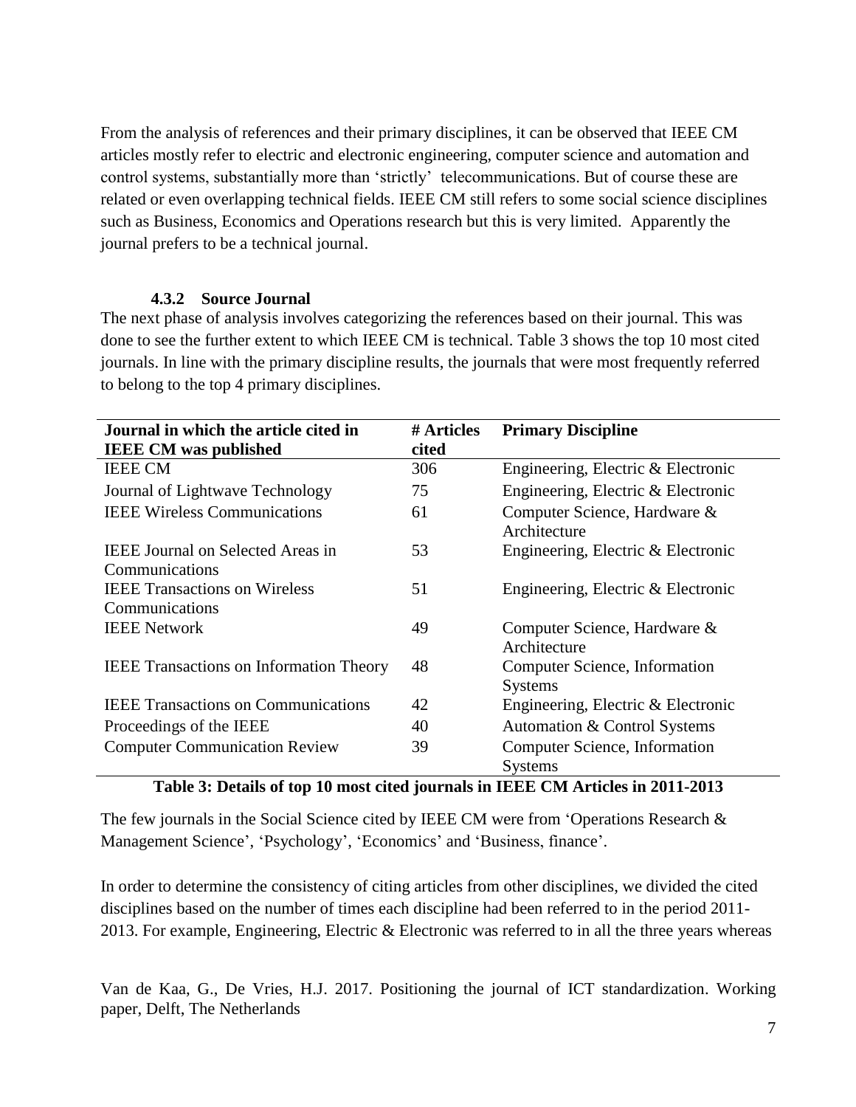From the analysis of references and their primary disciplines, it can be observed that IEEE CM articles mostly refer to electric and electronic engineering, computer science and automation and control systems, substantially more than 'strictly' telecommunications. But of course these are related or even overlapping technical fields. IEEE CM still refers to some social science disciplines such as Business, Economics and Operations research but this is very limited. Apparently the journal prefers to be a technical journal.

#### **4.3.2 Source Journal**

The next phase of analysis involves categorizing the references based on their journal. This was done to see the further extent to which IEEE CM is technical. Table 3 shows the top 10 most cited journals. In line with the primary discipline results, the journals that were most frequently referred to belong to the top 4 primary disciplines.

| Journal in which the article cited in          | # Articles | <b>Primary Discipline</b>                    |
|------------------------------------------------|------------|----------------------------------------------|
| <b>IEEE CM</b> was published                   | cited      |                                              |
| <b>IEEE CM</b>                                 | 306        | Engineering, Electric & Electronic           |
| Journal of Lightwave Technology                | 75         | Engineering, Electric & Electronic           |
| <b>IEEE Wireless Communications</b>            | 61         | Computer Science, Hardware &<br>Architecture |
| <b>IEEE Journal on Selected Areas in</b>       | 53         | Engineering, Electric & Electronic           |
| Communications                                 |            |                                              |
| <b>IEEE</b> Transactions on Wireless           | 51         | Engineering, Electric & Electronic           |
| Communications                                 |            |                                              |
| <b>IEEE Network</b>                            | 49         | Computer Science, Hardware &                 |
|                                                |            | Architecture                                 |
| <b>IEEE</b> Transactions on Information Theory | 48         | Computer Science, Information                |
|                                                |            | <b>Systems</b>                               |
| <b>IEEE Transactions on Communications</b>     | 42         | Engineering, Electric & Electronic           |
| Proceedings of the IEEE                        | 40         | Automation & Control Systems                 |
| <b>Computer Communication Review</b>           | 39         | Computer Science, Information                |
|                                                |            | <b>Systems</b>                               |

#### **Table 3: Details of top 10 most cited journals in IEEE CM Articles in 2011-2013**

The few journals in the Social Science cited by IEEE CM were from 'Operations Research & Management Science', 'Psychology', 'Economics' and 'Business, finance'.

In order to determine the consistency of citing articles from other disciplines, we divided the cited disciplines based on the number of times each discipline had been referred to in the period 2011- 2013. For example, Engineering, Electric & Electronic was referred to in all the three years whereas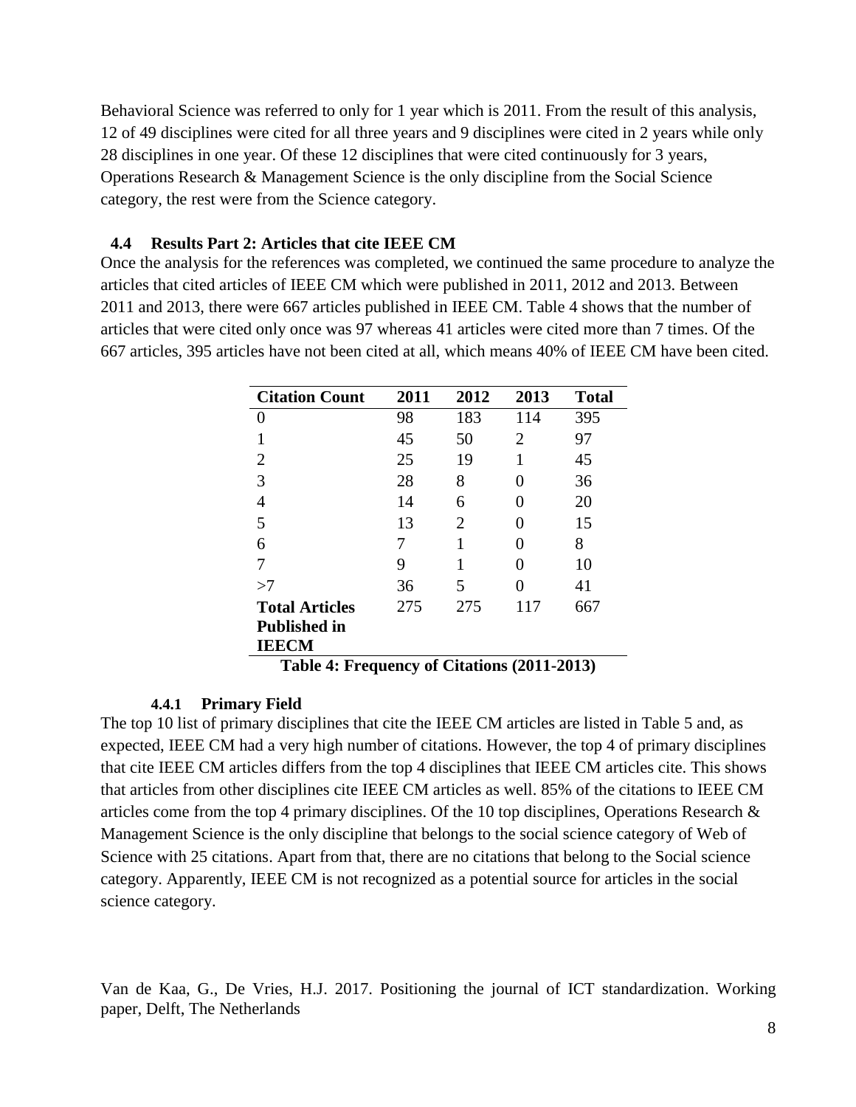Behavioral Science was referred to only for 1 year which is 2011. From the result of this analysis, 12 of 49 disciplines were cited for all three years and 9 disciplines were cited in 2 years while only 28 disciplines in one year. Of these 12 disciplines that were cited continuously for 3 years, Operations Research & Management Science is the only discipline from the Social Science category, the rest were from the Science category.

#### **4.4 Results Part 2: Articles that cite IEEE CM**

Once the analysis for the references was completed, we continued the same procedure to analyze the articles that cited articles of IEEE CM which were published in 2011, 2012 and 2013. Between 2011 and 2013, there were 667 articles published in IEEE CM. Table 4 shows that the number of articles that were cited only once was 97 whereas 41 articles were cited more than 7 times. Of the 667 articles, 395 articles have not been cited at all, which means 40% of IEEE CM have been cited.

| <b>Citation Count</b> | 2011 | 2012 | 2013              | <b>Total</b> |
|-----------------------|------|------|-------------------|--------------|
|                       | 98   | 183  | 114               | 395          |
| 1                     | 45   | 50   | 2                 | 97           |
| 2                     | 25   | 19   | 1                 | 45           |
| 3                     | 28   | 8    | $\mathbf{\Omega}$ | 36           |
| 4                     | 14   | 6    |                   | 20           |
| 5                     | 13   | 2    |                   | 15           |
| 6                     | 7    | 1    |                   | 8            |
| 7                     | 9    | 1    |                   | 10           |
| >7                    | 36   | 5    |                   | 41           |
| <b>Total Articles</b> | 275  | 275  | 117               | 667          |
| <b>Published in</b>   |      |      |                   |              |
| <b>IEECM</b>          |      |      |                   |              |

**Table 4: Frequency of Citations (2011-2013)**

#### **4.4.1 Primary Field**

The top 10 list of primary disciplines that cite the IEEE CM articles are listed in Table 5 and, as expected, IEEE CM had a very high number of citations. However, the top 4 of primary disciplines that cite IEEE CM articles differs from the top 4 disciplines that IEEE CM articles cite. This shows that articles from other disciplines cite IEEE CM articles as well. 85% of the citations to IEEE CM articles come from the top 4 primary disciplines. Of the 10 top disciplines, Operations Research & Management Science is the only discipline that belongs to the social science category of Web of Science with 25 citations. Apart from that, there are no citations that belong to the Social science category. Apparently, IEEE CM is not recognized as a potential source for articles in the social science category.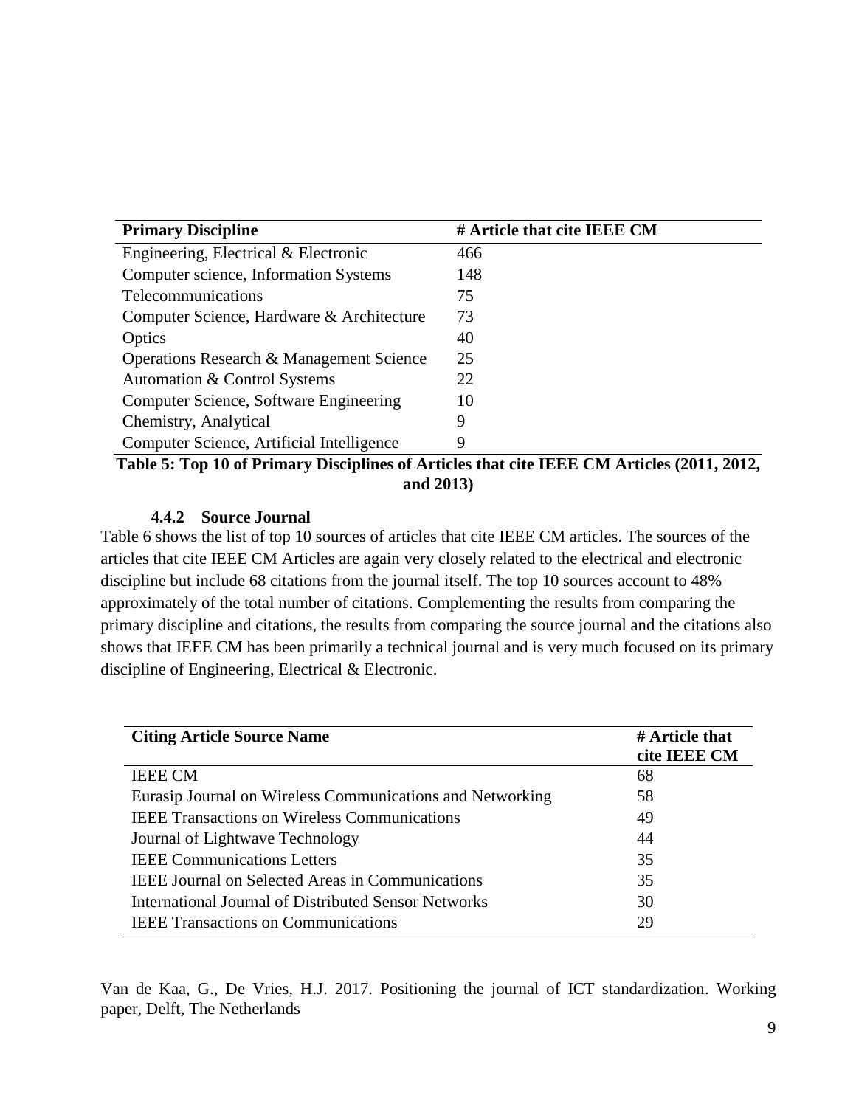| <b>Primary Discipline</b>                 | # Article that cite IEEE CM |
|-------------------------------------------|-----------------------------|
| Engineering, Electrical & Electronic      | 466                         |
| Computer science, Information Systems     | 148                         |
| Telecommunications                        | 75                          |
| Computer Science, Hardware & Architecture | 73                          |
| Optics                                    | 40                          |
| Operations Research & Management Science  | 25                          |
| Automation & Control Systems              | 22                          |
| Computer Science, Software Engineering    | 10                          |
| Chemistry, Analytical                     | 9                           |
| Computer Science, Artificial Intelligence | 9                           |

**Table 5: Top 10 of Primary Disciplines of Articles that cite IEEE CM Articles (2011, 2012, and 2013)**

## **4.4.2 Source Journal**

Table 6 shows the list of top 10 sources of articles that cite IEEE CM articles. The sources of the articles that cite IEEE CM Articles are again very closely related to the electrical and electronic discipline but include 68 citations from the journal itself. The top 10 sources account to 48% approximately of the total number of citations. Complementing the results from comparing the primary discipline and citations, the results from comparing the source journal and the citations also shows that IEEE CM has been primarily a technical journal and is very much focused on its primary discipline of Engineering, Electrical & Electronic.

| <b>Citing Article Source Name</b>                         | # Article that |
|-----------------------------------------------------------|----------------|
|                                                           | cite IEEE CM   |
| <b>IEEE CM</b>                                            | 68             |
| Eurasip Journal on Wireless Communications and Networking | 58             |
| <b>IEEE Transactions on Wireless Communications</b>       | 49             |
| Journal of Lightwave Technology                           | 44             |
| <b>IEEE</b> Communications Letters                        | 35             |
| <b>IEEE Journal on Selected Areas in Communications</b>   | 35             |
| International Journal of Distributed Sensor Networks      | 30             |
| <b>IEEE</b> Transactions on Communications                | 29             |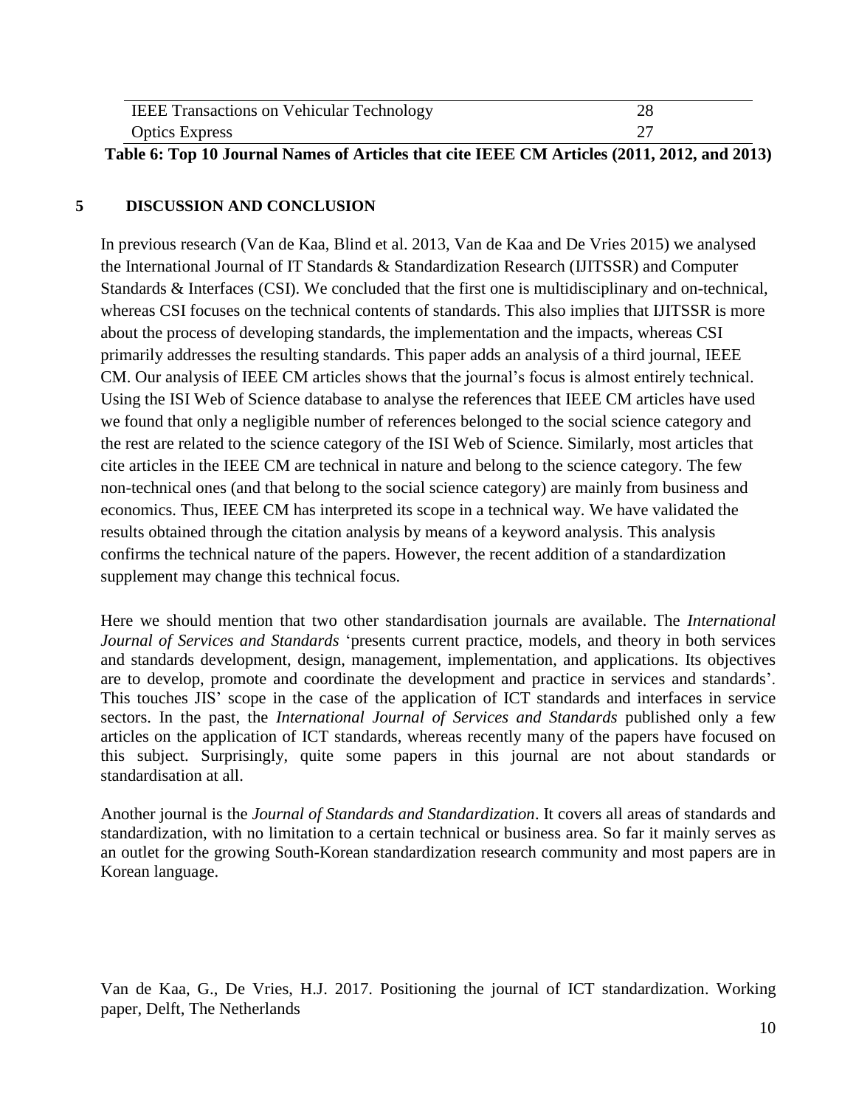| <b>IEEE Transactions on Vehicular Technology</b> |  |
|--------------------------------------------------|--|
| <b>Optics Express</b>                            |  |

**Table 6: Top 10 Journal Names of Articles that cite IEEE CM Articles (2011, 2012, and 2013)**

#### **5 DISCUSSION AND CONCLUSION**

In previous research (Van de Kaa, Blind et al. 2013, Van de Kaa and De Vries 2015) we analysed the International Journal of IT Standards & Standardization Research (IJITSSR) and Computer Standards & Interfaces (CSI). We concluded that the first one is multidisciplinary and on-technical, whereas CSI focuses on the technical contents of standards. This also implies that IJITSSR is more about the process of developing standards, the implementation and the impacts, whereas CSI primarily addresses the resulting standards. This paper adds an analysis of a third journal, IEEE CM. Our analysis of IEEE CM articles shows that the journal's focus is almost entirely technical. Using the ISI Web of Science database to analyse the references that IEEE CM articles have used we found that only a negligible number of references belonged to the social science category and the rest are related to the science category of the ISI Web of Science. Similarly, most articles that cite articles in the IEEE CM are technical in nature and belong to the science category. The few non-technical ones (and that belong to the social science category) are mainly from business and economics. Thus, IEEE CM has interpreted its scope in a technical way. We have validated the results obtained through the citation analysis by means of a keyword analysis. This analysis confirms the technical nature of the papers. However, the recent addition of a standardization supplement may change this technical focus.

Here we should mention that two other standardisation journals are available. The *International Journal of Services and Standards* 'presents current practice, models, and theory in both services and standards development, design, management, implementation, and applications. Its objectives are to develop, promote and coordinate the development and practice in services and standards'. This touches JIS' scope in the case of the application of ICT standards and interfaces in service sectors. In the past, the *International Journal of Services and Standards* published only a few articles on the application of ICT standards, whereas recently many of the papers have focused on this subject. Surprisingly, quite some papers in this journal are not about standards or standardisation at all.

Another journal is the *Journal of Standards and Standardization*. It covers all areas of standards and standardization, with no limitation to a certain technical or business area. So far it mainly serves as an outlet for the growing South-Korean standardization research community and most papers are in Korean language.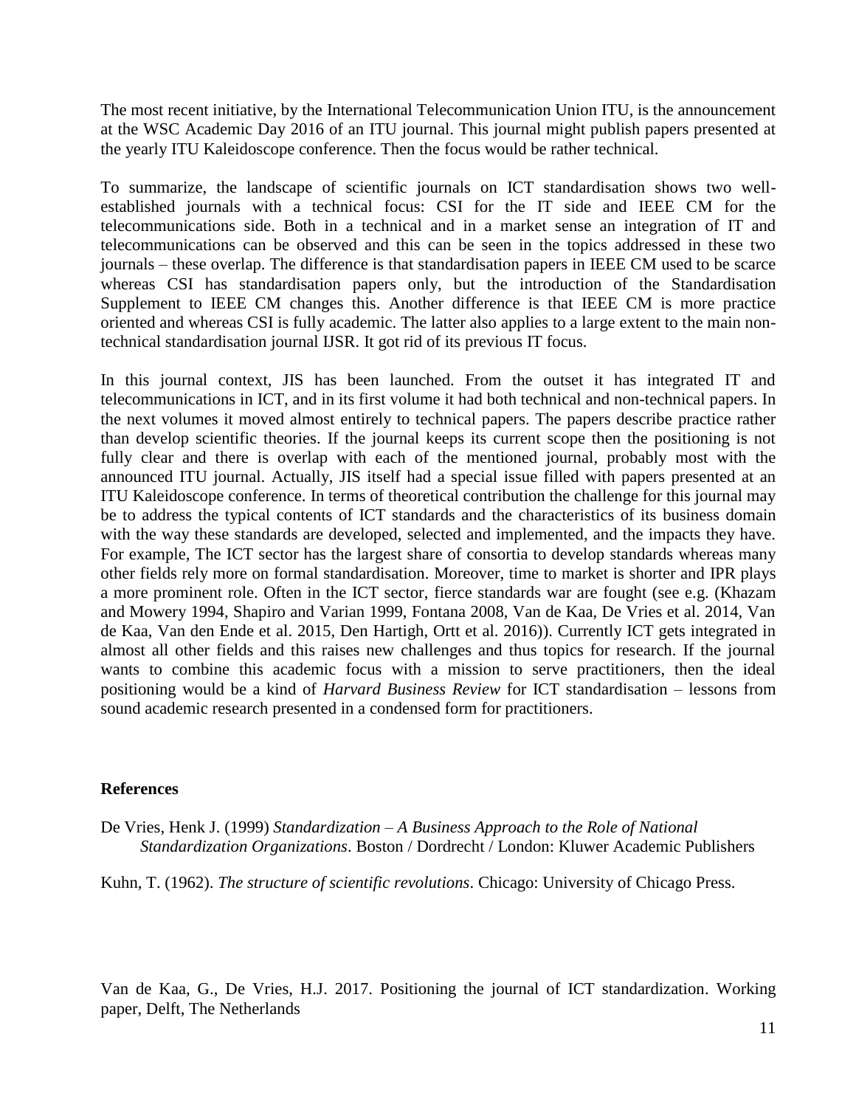The most recent initiative, by the International Telecommunication Union ITU, is the announcement at the WSC Academic Day 2016 of an ITU journal. This journal might publish papers presented at the yearly ITU Kaleidoscope conference. Then the focus would be rather technical.

To summarize, the landscape of scientific journals on ICT standardisation shows two wellestablished journals with a technical focus: CSI for the IT side and IEEE CM for the telecommunications side. Both in a technical and in a market sense an integration of IT and telecommunications can be observed and this can be seen in the topics addressed in these two journals – these overlap. The difference is that standardisation papers in IEEE CM used to be scarce whereas CSI has standardisation papers only, but the introduction of the Standardisation Supplement to IEEE CM changes this. Another difference is that IEEE CM is more practice oriented and whereas CSI is fully academic. The latter also applies to a large extent to the main nontechnical standardisation journal IJSR. It got rid of its previous IT focus.

In this journal context, JIS has been launched. From the outset it has integrated IT and telecommunications in ICT, and in its first volume it had both technical and non-technical papers. In the next volumes it moved almost entirely to technical papers. The papers describe practice rather than develop scientific theories. If the journal keeps its current scope then the positioning is not fully clear and there is overlap with each of the mentioned journal, probably most with the announced ITU journal. Actually, JIS itself had a special issue filled with papers presented at an ITU Kaleidoscope conference. In terms of theoretical contribution the challenge for this journal may be to address the typical contents of ICT standards and the characteristics of its business domain with the way these standards are developed, selected and implemented, and the impacts they have. For example, The ICT sector has the largest share of consortia to develop standards whereas many other fields rely more on formal standardisation. Moreover, time to market is shorter and IPR plays a more prominent role. Often in the ICT sector, fierce standards war are fought (see e.g. (Khazam and Mowery 1994, Shapiro and Varian 1999, Fontana 2008, Van de Kaa, De Vries et al. 2014, Van de Kaa, Van den Ende et al. 2015, Den Hartigh, Ortt et al. 2016)). Currently ICT gets integrated in almost all other fields and this raises new challenges and thus topics for research. If the journal wants to combine this academic focus with a mission to serve practitioners, then the ideal positioning would be a kind of *Harvard Business Review* for ICT standardisation – lessons from sound academic research presented in a condensed form for practitioners.

#### **References**

De Vries, Henk J. (1999) *Standardization – A Business Approach to the Role of National Standardization Organizations*. Boston / Dordrecht / London: Kluwer Academic Publishers

Kuhn, T. (1962). *The structure of scientific revolutions*. Chicago: University of Chicago Press.